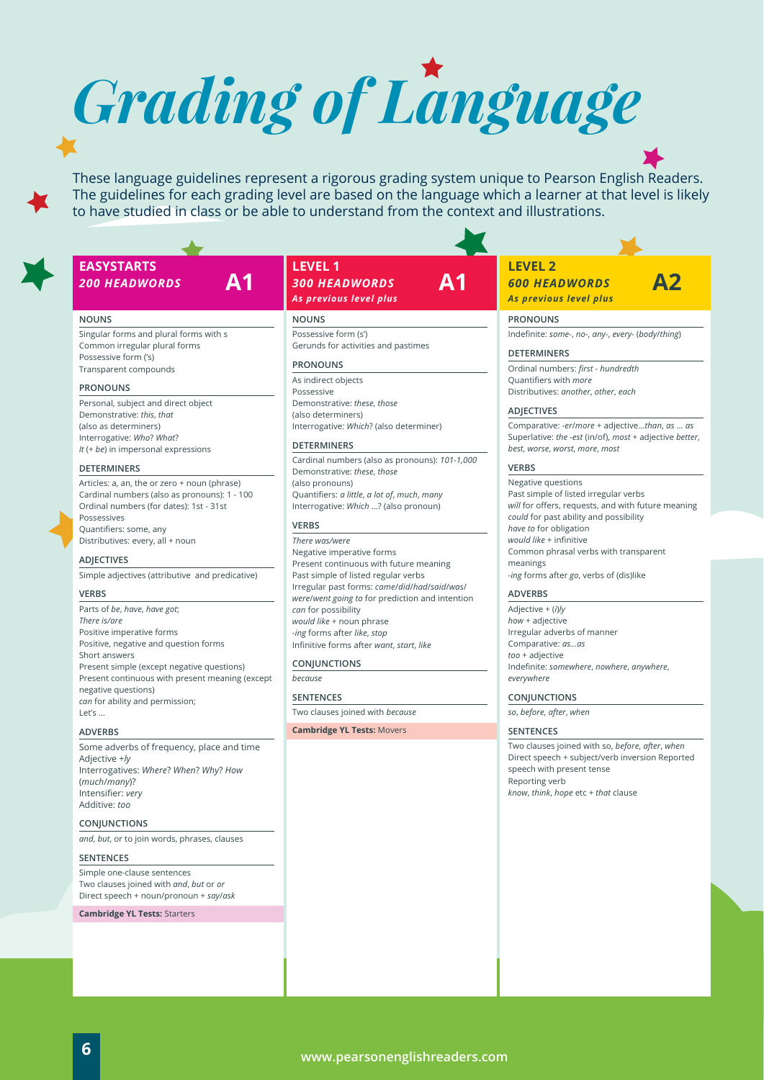*Grading of Language*

These language guidelines represent a rigorous grading system unique to Pearson English Readers. The guidelines for each grading level are based on the language which a learner at that level is likely to have studied in class or be able to understand from the context and illustrations.

**A1**

# **EASYSTARTS** *200 HEADWORDS* **A1**

#### **NOUNS**

Singular forms and plural forms with s Common irregular plural forms Possessive form ('s) Transparent compounds

## **PRONOUNS**

Personal, subject and direct object Demonstrative: *this*, *that* (also as determiners) Interrogative: *Who*? *What*? *It* (+ *be*) in impersonal expressions

#### **DETERMINERS**

Articles: a, an, the or zero + noun (phrase) Cardinal numbers (also as pronouns): 1 - 100 Ordinal numbers (for dates): 1st - 31st Possessives Quantifiers: some, any Distributives: every, all + noun

## **ADJECTIVES**

Simple adjectives (attributive and predicative)

### **VERBS**

Parts of *be*, *have*, *have got*; *There is/are* Positive imperative forms Positive, negative and question forms Short answers Present simple (except negative questions) Present continuous with present meaning (except negative questions) *can* for ability and permission;  $Let's$ 

# **ADVERBS**

Some adverbs of frequency, place and time Adjective +*ly* Interrogatives: *Where*? *When*? *Why*? *How*  (*much*/*many*)? Intensifier: *very* Additive: *too*

# **CONJUNCTIONS**

*and*, *but*, or to join words, phrases, clauses

# **SENTENCES**

Simple one-clause sentences Two clauses joined with *and*, *but* or *or*  Direct speech + noun/pronoun + *say*/*ask*

**Cambridge YL Tests:** Starters

# **LEVEL 1** *300 HEADWORDS As previous level plus*

## **NOUNS**

Possessive form (s') Gerunds for activities and pastimes

### **PRONOUNS**

As indirect objects Possessive Demonstrative: *these*, *those* (also determiners) Interrogative: *Which*? (also determiner)

#### **DETERMINERS**

Cardinal numbers (also as pronouns): *101-1,000* Demonstrative: *these*, *those*  (also pronouns) Quantifiers: *a little*, *a lot of*, *much*, *many*  Interrogative: *Which* …? (also pronoun)

# **VERBS**

*There was/were* Negative imperative forms Present continuous with future meaning Past simple of listed regular verbs Irregular past forms: *came*/*did*/*had*/*said*/*was*/ *were*/*went going to* for prediction and intention *can* for possibility *would like* + noun phrase *-ing* forms after *like*, *stop* Infinitive forms after *want*, *start*, *like*

#### **CONJUNCTIONS**

*because*

**SENTENCES** 

Two clauses joined with *because*

**Cambridge YL Tests:** Movers

# **LEVEL 2** *600 HEADWORDS*

*As previous level plus*

# **PRONOUNS**

Indefinite: *some-*, *no-*, *any-*, *every-* (*body*/*thing*)

**A2**

#### **DETERMINERS**

Ordinal numbers: *first* - *hundredth* Quantifiers with *more* Distributives: *another*, *other*, *each*

# **ADJECTIVES**

Comparative: *-er*/*more* + adjective...*than*, *as* ... *as*  Superlative: *the -est* (in/of), *most* + adjective *better*, *best*, *worse*, *worst*, *more*, *most*

### **VERBS**

Negative questions Past simple of listed irregular verbs *will* for offers, requests, and with future meaning *could* for past ability and possibility *have to* for obligation *would like* + infinitive Common phrasal verbs with transparent meanings *-ing* forms after *go*, verbs of (dis)like

# **ADVERBS**

Adjective + (*i*)*ly how* + adjective Irregular adverbs of manner Comparative: *as...as too* + adjective Indefinite: *somewhere*, *nowhere*, *anywhere*, *everywhere*

#### **CONJUNCTIONS**

*so*, *before*, *after*, *when*

# **SENTENCES**

Two clauses joined with so, *before*, *after*, *when*  Direct speech + subject/verb inversion Reported speech with present tense Reporting verb *know*, *think*, *hope* etc + *that* clause